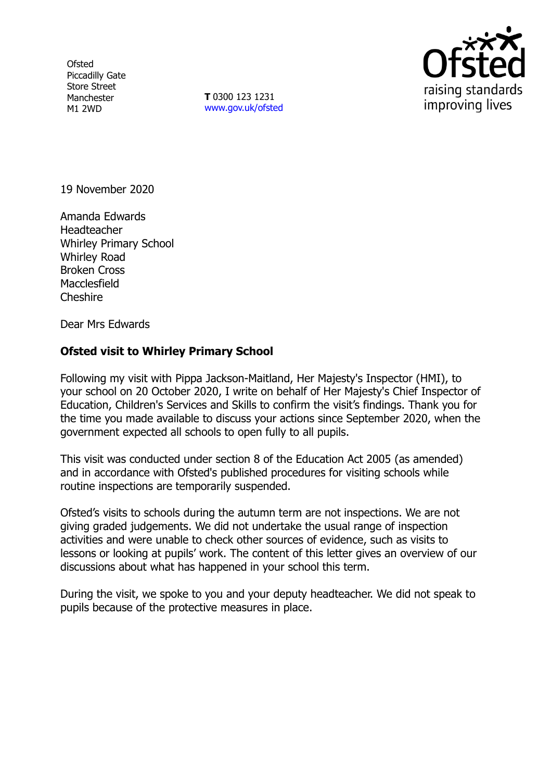**Ofsted** Piccadilly Gate Store Street Manchester M1 2WD

**T** 0300 123 1231 [www.gov.uk/ofsted](http://www.gov.uk/ofsted)



19 November 2020

Amanda Edwards **Headteacher** Whirley Primary School Whirley Road Broken Cross **Macclesfield** Cheshire

Dear Mrs Edwards

## **Ofsted visit to Whirley Primary School**

Following my visit with Pippa Jackson-Maitland, Her Majesty's Inspector (HMI), to your school on 20 October 2020, I write on behalf of Her Majesty's Chief Inspector of Education, Children's Services and Skills to confirm the visit's findings. Thank you for the time you made available to discuss your actions since September 2020, when the government expected all schools to open fully to all pupils.

This visit was conducted under section 8 of the Education Act 2005 (as amended) and in accordance with Ofsted's published procedures for visiting schools while routine inspections are temporarily suspended.

Ofsted's visits to schools during the autumn term are not inspections. We are not giving graded judgements. We did not undertake the usual range of inspection activities and were unable to check other sources of evidence, such as visits to lessons or looking at pupils' work. The content of this letter gives an overview of our discussions about what has happened in your school this term.

During the visit, we spoke to you and your deputy headteacher. We did not speak to pupils because of the protective measures in place.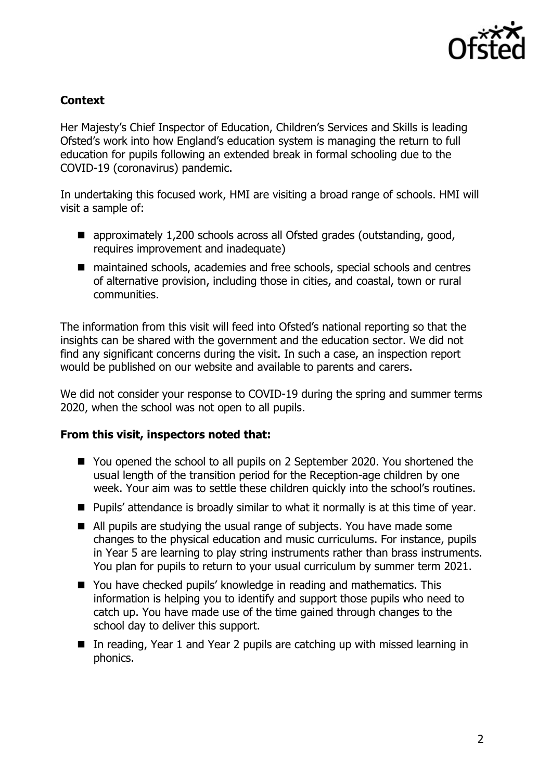

## **Context**

Her Majesty's Chief Inspector of Education, Children's Services and Skills is leading Ofsted's work into how England's education system is managing the return to full education for pupils following an extended break in formal schooling due to the COVID-19 (coronavirus) pandemic.

In undertaking this focused work, HMI are visiting a broad range of schools. HMI will visit a sample of:

- approximately 1,200 schools across all Ofsted grades (outstanding, good, requires improvement and inadequate)
- maintained schools, academies and free schools, special schools and centres of alternative provision, including those in cities, and coastal, town or rural communities.

The information from this visit will feed into Ofsted's national reporting so that the insights can be shared with the government and the education sector. We did not find any significant concerns during the visit. In such a case, an inspection report would be published on our website and available to parents and carers.

We did not consider your response to COVID-19 during the spring and summer terms 2020, when the school was not open to all pupils.

## **From this visit, inspectors noted that:**

- You opened the school to all pupils on 2 September 2020. You shortened the usual length of the transition period for the Reception-age children by one week. Your aim was to settle these children quickly into the school's routines.
- $\blacksquare$  Pupils' attendance is broadly similar to what it normally is at this time of year.
- All pupils are studying the usual range of subjects. You have made some changes to the physical education and music curriculums. For instance, pupils in Year 5 are learning to play string instruments rather than brass instruments. You plan for pupils to return to your usual curriculum by summer term 2021.
- You have checked pupils' knowledge in reading and mathematics. This information is helping you to identify and support those pupils who need to catch up. You have made use of the time gained through changes to the school day to deliver this support.
- In reading, Year 1 and Year 2 pupils are catching up with missed learning in phonics.